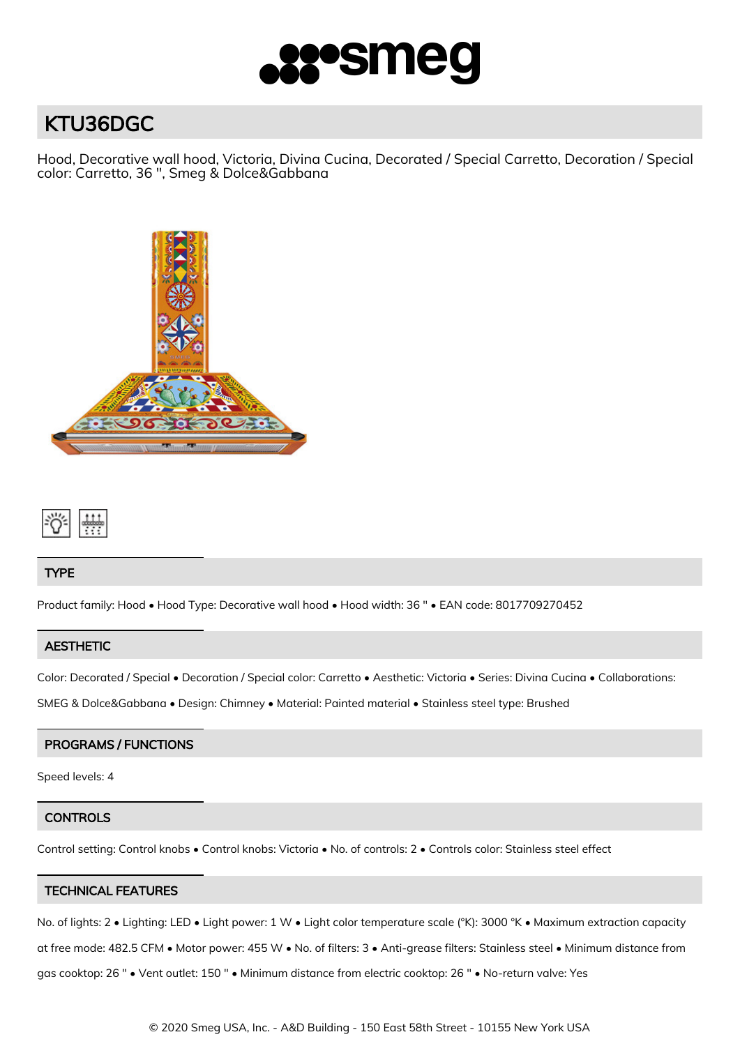

# KTU36DGC

Hood, Decorative wall hood, Victoria, Divina Cucina, Decorated / Special Carretto, Decoration / Special color: Carretto, 36 ", Smeg & Dolce&Gabbana





## TYPE

Product family: Hood • Hood Type: Decorative wall hood • Hood width: 36 " • EAN code: 8017709270452

# **AESTHETIC**

Color: Decorated / Special • Decoration / Special color: Carretto • Aesthetic: Victoria • Series: Divina Cucina • Collaborations:

SMEG & Dolce&Gabbana • Design: Chimney • Material: Painted material • Stainless steel type: Brushed

# PROGRAMS / FUNCTIONS

Speed levels: 4

## **CONTROLS**

Control setting: Control knobs • Control knobs: Victoria • No. of controls: 2 • Controls color: Stainless steel effect

## TECHNICAL FEATURES

No. of lights: 2 • Lighting: LED • Light power: 1 W • Light color temperature scale (°K): 3000 °K • Maximum extraction capacity at free mode: 482.5 CFM • Motor power: 455 W • No. of filters: 3 • Anti-grease filters: Stainless steel • Minimum distance from gas cooktop: 26 " • Vent outlet: 150 " • Minimum distance from electric cooktop: 26 " • No-return valve: Yes